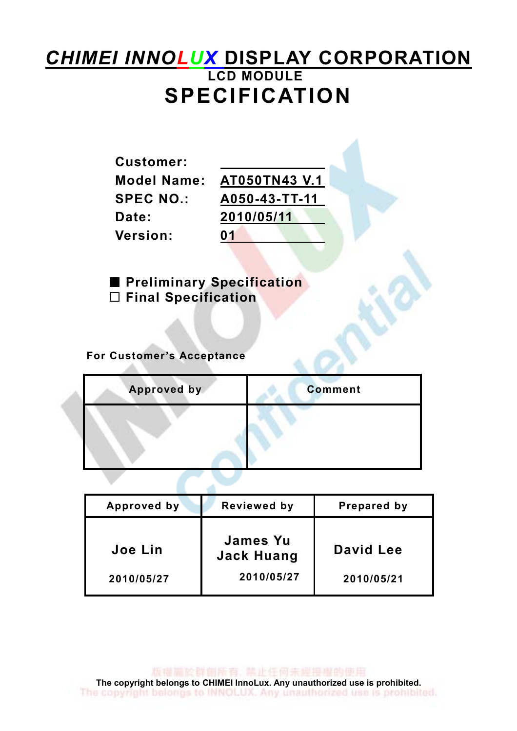## **CHIMEI INNOLUX DISPLAY CORPORATION** LCD MODULE SPECIFICATION

| <b>Customer:</b> |               |
|------------------|---------------|
| Model Name:      | AT050TN43 V.1 |
| <b>SPEC NO.:</b> | A050-43-TT-11 |
| Date:            | 2010/05/11    |
| <b>Version:</b>  | 01            |
|                  |               |

**Preliminary Specification**  $\square$  Final Specification

#### For Customer's Acceptance

SA.

| <b>Approved by</b> | <b>Comment</b> |
|--------------------|----------------|
|                    |                |
|                    |                |

| Approved by           | <b>Reviewed by</b>                          | Prepared by             |
|-----------------------|---------------------------------------------|-------------------------|
| Joe Lin<br>2010/05/27 | James Yu<br><b>Jack Huang</b><br>2010/05/27 | David Lee<br>2010/05/21 |

版權圖於群創所有, 禁止任何未經授權的使用 The copyright belongs to CHIMEI InnoLux. Any unauthorized use is prohibited.<br>The copyright belongs to INNOLLUX. Any unauthorized use is prohibited.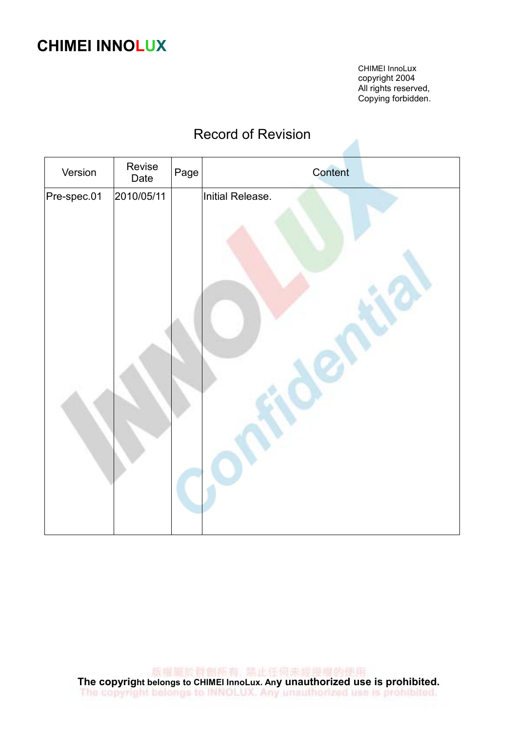## CHIMEI INNOLUX

CHIMEI InnoLux copyright 2004 All rights reserved, Copying forbidden.

#### Record of Revision

| Version     | Revise<br>Date | Page | Content          |
|-------------|----------------|------|------------------|
| Pre-spec.01 | 2010/05/11     |      | Initial Release. |
|             |                |      |                  |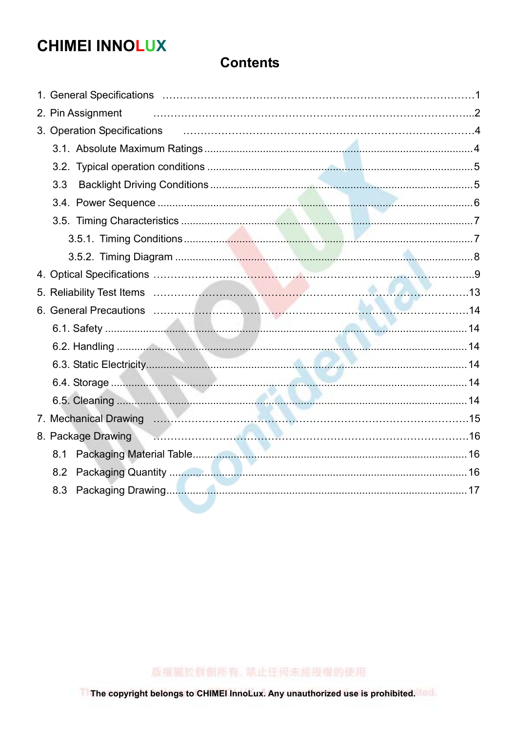## **CHIMEI INNOLUX**

#### **Contents**

| 2. Pin Assignment                                                                        |  |
|------------------------------------------------------------------------------------------|--|
| 3. Operation Specifications <b>contained a material contract a material contract a</b> 4 |  |
|                                                                                          |  |
|                                                                                          |  |
| 3.3                                                                                      |  |
|                                                                                          |  |
|                                                                                          |  |
|                                                                                          |  |
|                                                                                          |  |
|                                                                                          |  |
|                                                                                          |  |
|                                                                                          |  |
|                                                                                          |  |
|                                                                                          |  |
|                                                                                          |  |
|                                                                                          |  |
|                                                                                          |  |
|                                                                                          |  |
| 8. Package Drawing <b>Commission Commission Commission Commission</b> 16                 |  |
| 8.1                                                                                      |  |
| 8.2                                                                                      |  |
| 8.3                                                                                      |  |
|                                                                                          |  |

版權圖於群創所有, 禁止任何未經授權的使用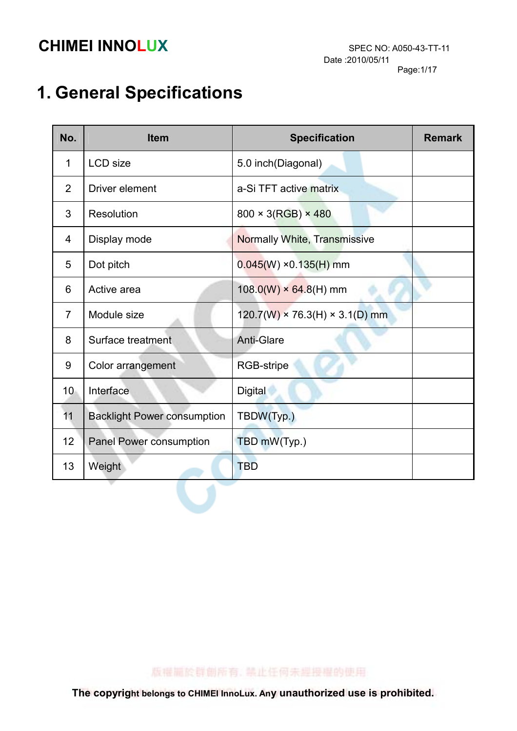# 1. General Specifications

| No.             | <b>Item</b>                        | <b>Specification</b>                       | <b>Remark</b> |
|-----------------|------------------------------------|--------------------------------------------|---------------|
| 1               | <b>LCD</b> size                    | 5.0 inch(Diagonal)                         |               |
| $\overline{2}$  | Driver element                     | a-Si TFT active matrix                     |               |
| 3               | Resolution                         | $800 \times 3(RGB) \times 480$             |               |
| 4               | Display mode                       | <b>Normally White, Transmissive</b>        |               |
| 5               | Dot pitch                          | $0.045(W)$ ×0.135(H) mm                    |               |
| 6               | Active area                        | $108.0(W) \times 64.8(H)$ mm               |               |
| $\overline{7}$  | Module size                        | $120.7(W) \times 76.3(H) \times 3.1(D)$ mm |               |
| 8               | Surface treatment                  | <b>Anti-Glare</b>                          |               |
| 9               | Color arrangement                  | RGB-stripe                                 |               |
| 10 <sup>°</sup> | Interface                          | <b>Digital</b>                             |               |
| 11              | <b>Backlight Power consumption</b> | TBDW(Typ.)                                 |               |
| 12              | <b>Panel Power consumption</b>     | TBD mW(Typ.)                               |               |
| 13              | Weight                             | <b>TBD</b>                                 |               |

版權圖於群劇所有, 禁止任何未經授權的使用

 $\sqrt{2}$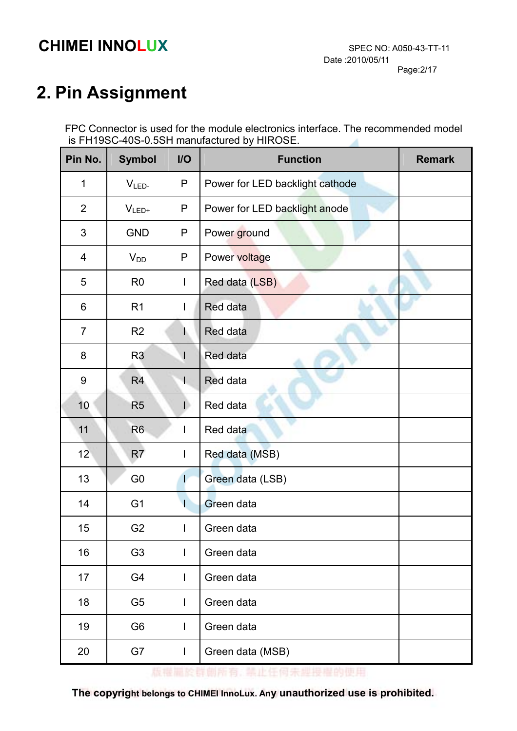# 2. Pin Assignment

 FPC Connector is used for the module electronics interface. The recommended model is FH19SC-40S-0.5SH manufactured by HIROSE. A

| Pin No.        | <b>Symbol</b>  | $II$                     | <b>Function</b>                 | <b>Remark</b> |
|----------------|----------------|--------------------------|---------------------------------|---------------|
| $\mathbf{1}$   | $VLED-$        | P                        | Power for LED backlight cathode |               |
| $\overline{2}$ | $V_{LED+}$     | P                        | Power for LED backlight anode   |               |
| 3              | <b>GND</b>     | P                        | Power ground                    |               |
| 4              | $V_{DD}$       | P                        | Power voltage                   |               |
| 5              | R <sub>0</sub> | $\overline{\phantom{a}}$ | Red data (LSB)                  |               |
| 6              | R <sub>1</sub> | T                        | Red data                        |               |
| $\overline{7}$ | R <sub>2</sub> |                          | Red data                        |               |
| 8              | R <sub>3</sub> | $\mathsf{l}$             | Red data                        |               |
| 9              | R <sub>4</sub> | T                        | Red data                        |               |
| 10             | R <sub>5</sub> | D                        | Red data                        |               |
| 11             | R <sub>6</sub> | I                        | Red data                        |               |
| 12             | R <sub>7</sub> | I                        | Red data (MSB)                  |               |
| 13             | G <sub>0</sub> | L                        | Green data (LSB)                |               |
| 14             | G <sub>1</sub> | I                        | Green data                      |               |
| 15             | G <sub>2</sub> | I                        | Green data                      |               |
| 16             | G <sub>3</sub> | I                        | Green data                      |               |
| 17             | G4             | I                        | Green data                      |               |
| 18             | G <sub>5</sub> | $\overline{\phantom{a}}$ | Green data                      |               |
| 19             | G <sub>6</sub> | I                        | Green data                      |               |
| 20             | G7             | $\mathsf I$              | Green data (MSB)                |               |

版權圖於群創所有, 禁止任何未經投權的使用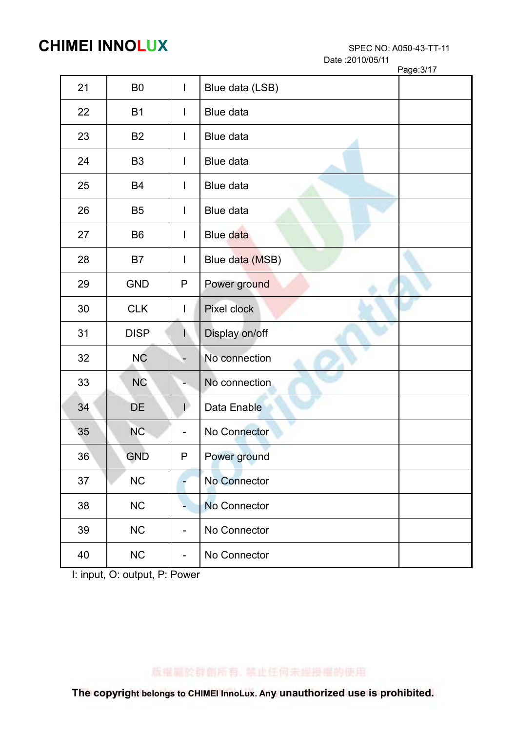Date :2010/05/11

|    |                |                          | Page: 3/17      |
|----|----------------|--------------------------|-----------------|
| 21 | B <sub>0</sub> | $\mathbf{I}$             | Blue data (LSB) |
| 22 | <b>B1</b>      | I.                       | Blue data       |
| 23 | <b>B2</b>      | $\mathsf{l}$             | Blue data       |
| 24 | B <sub>3</sub> | I                        | Blue data       |
| 25 | <b>B4</b>      | $\mathbf{I}$             | Blue data       |
| 26 | B <sub>5</sub> | $\mathbf{I}$             | Blue data       |
| 27 | B <sub>6</sub> | $\mathbf{I}$             | Blue data       |
| 28 | B7             | I                        | Blue data (MSB) |
| 29 | <b>GND</b>     | P                        | Power ground    |
| 30 | <b>CLK</b>     | I.                       | Pixel clock     |
| 31 | <b>DISP</b>    |                          | Display on/off  |
| 32 | <b>NC</b>      |                          | No connection   |
| 33 | <b>NC</b>      |                          | No connection   |
| 34 | DE             | Ð                        | Data Enable     |
| 35 | <b>NC</b>      |                          | No Connector    |
| 36 | <b>GND</b>     | $\mathsf P$              | Power ground    |
| 37 | NC             |                          | No Connector    |
| 38 | NC             |                          | No Connector    |
| 39 | $NC$           | $\overline{\phantom{a}}$ | No Connector    |
| 40 | $NC$           |                          | No Connector    |

I: input, O: output, P: Power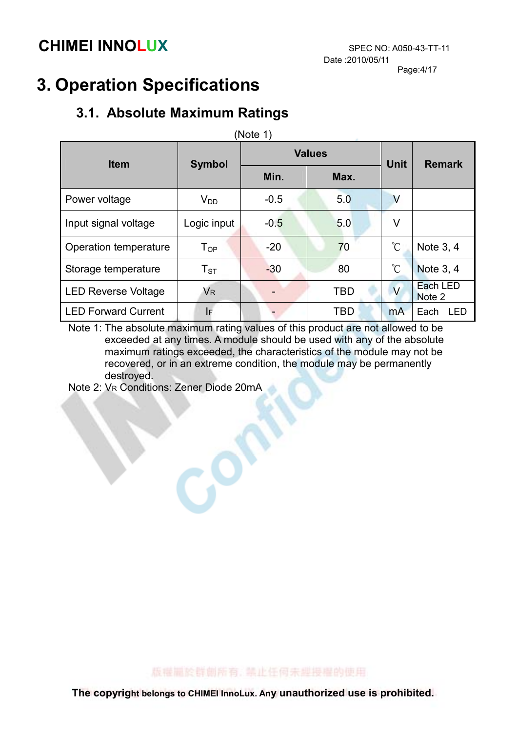## 3. Operation Specifications

#### 3.1. Absolute Maximum Ratings

| (Note 1)                   |                      |        |               |                 |                    |  |
|----------------------------|----------------------|--------|---------------|-----------------|--------------------|--|
| <b>Item</b>                | <b>Symbol</b>        |        | <b>Values</b> | <b>Unit</b>     | <b>Remark</b>      |  |
|                            |                      | Min.   | Max.          |                 |                    |  |
| Power voltage              | $V_{DD}$             | $-0.5$ | 5.0           | V               |                    |  |
| Input signal voltage       | Logic input          | $-0.5$ | 5.0           | V               |                    |  |
| Operation temperature      | $T_{OP}$             | $-20$  | 70            | $\rm ^{\circ}C$ | Note 3, 4          |  |
| Storage temperature        | $T_{\rm ST}$         | $-30$  | 80            | $\rm ^{\circ}C$ | <b>Note 3, 4</b>   |  |
| <b>LED Reverse Voltage</b> | <b>V<sub>R</sub></b> |        | <b>TBD</b>    | $\vee$          | Each LED<br>Note 2 |  |
| <b>LED Forward Current</b> | IF                   |        | TBD           | <b>mA</b>       | Each<br>LED        |  |

Note 1: The absolute maximum rating values of this product are not allowed to be exceeded at any times. A module should be used with any of the absolute maximum ratings exceeded, the characteristics of the module may not be recovered, or in an extreme condition, the module may be permanently destroyed.

Note 2: VR Conditions: Zener Diode 20mA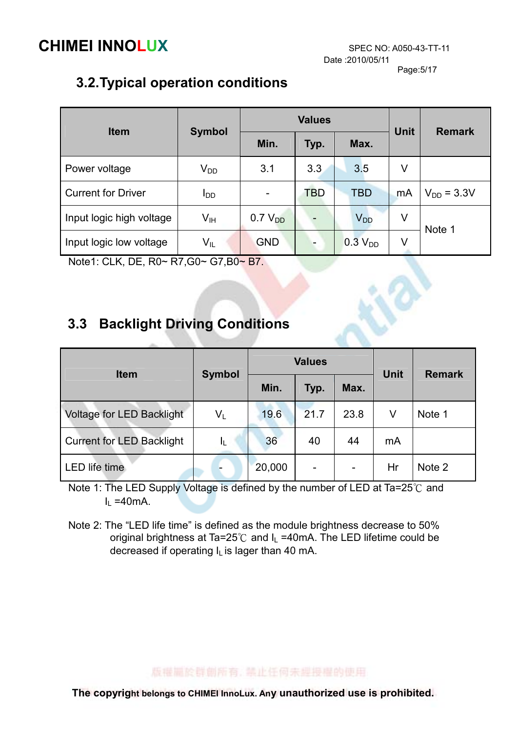Date :2010/05/11

18

Page:5/17

#### 3.2. Typical operation conditions

| <b>Item</b>               |                 |                     | <b>Values</b> | <b>Unit</b>           | <b>Remark</b> |                 |
|---------------------------|-----------------|---------------------|---------------|-----------------------|---------------|-----------------|
|                           | <b>Symbol</b>   | Min.                | Typ.          | Max.                  |               |                 |
| Power voltage             | $V_{DD}$        | 3.1                 | 3.3           | 3.5                   | V             |                 |
| <b>Current for Driver</b> | I <sub>DD</sub> |                     | TBD           | <b>TBD</b>            | mA            | $V_{DD} = 3.3V$ |
| Input logic high voltage  | $V_{\text{IH}}$ | 0.7 V <sub>DD</sub> |               | <b>V<sub>DD</sub></b> | V             | Note 1          |
| Input logic low voltage   | $V_{IL}$        | <b>GND</b>          |               | 0.3 V <sub>DD</sub>   | V             |                 |

Note1: CLK, DE, R0~ R7,G0~ G7,B0~ B7.

#### 3.3 Backlight Driving Conditions

| <b>Item</b>                      |                         |        | <b>Values</b> | <b>Unit</b>              | <b>Remark</b> |        |
|----------------------------------|-------------------------|--------|---------------|--------------------------|---------------|--------|
|                                  | <b>Symbol</b>           | Min.   | Typ.          | Max.                     |               |        |
| <b>Voltage for LED Backlight</b> | $\mathsf{V}_\mathsf{L}$ | 19.6   | 21.7          | 23.8                     | V             | Note 1 |
| <b>Current for LED Backlight</b> | IL.                     | 36     | 40            | 44                       | mA            |        |
| LED life time                    |                         | 20,000 |               | $\overline{\phantom{a}}$ | Hr            | Note 2 |

Note 1: The LED Supply Voltage is defined by the number of LED at Ta=25°C and  $I<sub>L</sub>$  =40mA.

Note 2: The "LED life time" is defined as the module brightness decrease to 50% original brightness at Ta=25 $°C$  and  $L = 40$ mA. The LED lifetime could be decreased if operating  $I_L$  is lager than 40 mA.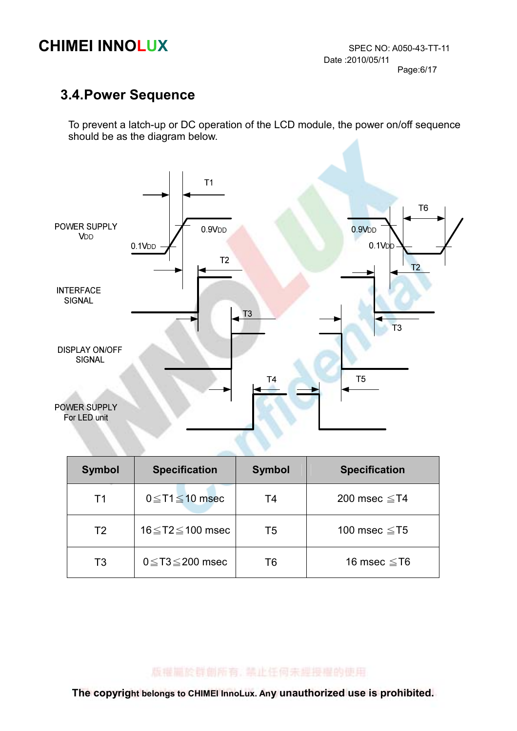#### 3.4. Power Sequence

To prevent a latch-up or DC operation of the LCD module, the power on/off sequence should be as the diagram below.



| <b>Symbol</b>  | <b>Specification</b>      | <b>Symbol</b> | <b>Specification</b> |
|----------------|---------------------------|---------------|----------------------|
| T1             | $0 \le T1 \le 10$ msec    | T4            | 200 msec $\leq$ T4   |
| T <sub>2</sub> | 16≤T2≤100 msec            | T5            | 100 msec $\leq$ T5   |
| T <sub>3</sub> | $0 \leq T3 \leq 200$ msec | T6            | 16 msec $\leq$ T6    |

版權圖於群創所有, 禁止任何未經授權的使用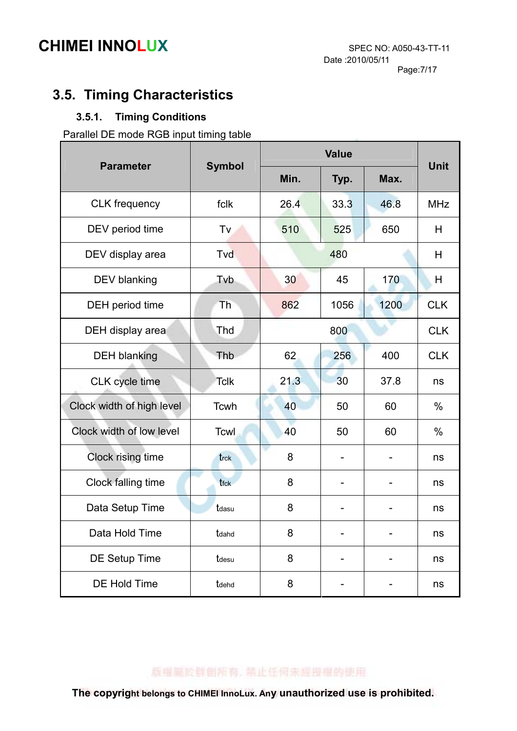#### 3.5. Timing Characteristics

#### 3.5.1. Timing Conditions

Parallel DE mode RGB input timing table

| <b>Parameter</b>             | <b>Symbol</b>    |      | <b>Unit</b> |      |            |
|------------------------------|------------------|------|-------------|------|------------|
|                              |                  | Min. |             | Max. |            |
| <b>CLK</b> frequency         | fclk             | 26.4 | 33.3        | 46.8 | <b>MHz</b> |
| DEV period time              | Tv               | 510  | 525         | 650  | H          |
| DEV display area             | Tvd              | 480  |             |      | H          |
| <b>DEV blanking</b>          | Tvb              | 30   | 45          | 170  | H          |
| DEH period time              | Th               | 862  | 1056        | 1200 | <b>CLK</b> |
| DEH display area             | Thd              |      | 800         |      | <b>CLK</b> |
| <b>DEH blanking</b>          | Thb              | 62   | 256         | 400  | <b>CLK</b> |
| CLK cycle time               | <b>Tclk</b>      | 21.3 | 30          | 37.8 | ns         |
| Clock width of high level    | Tcwh             | 40   | 50          | 60   | $\%$       |
| Clock width of low level     | Tcwl             | 40   | 50          | 60   | $\%$       |
| Clock rising time            | trck             | 8    |             |      | ns         |
| Clock falling time           | t <sub>fck</sub> | 8    |             |      | ns         |
| Data Setup Time              | tdasu            | 8    |             |      | ns         |
| Data Hold Time               | tdahd            | 8    |             |      | ns         |
| DE Setup Time                | tdesu            | 8    |             |      | ns         |
| <b>DE Hold Time</b><br>tdehd |                  | 8    |             |      | ns         |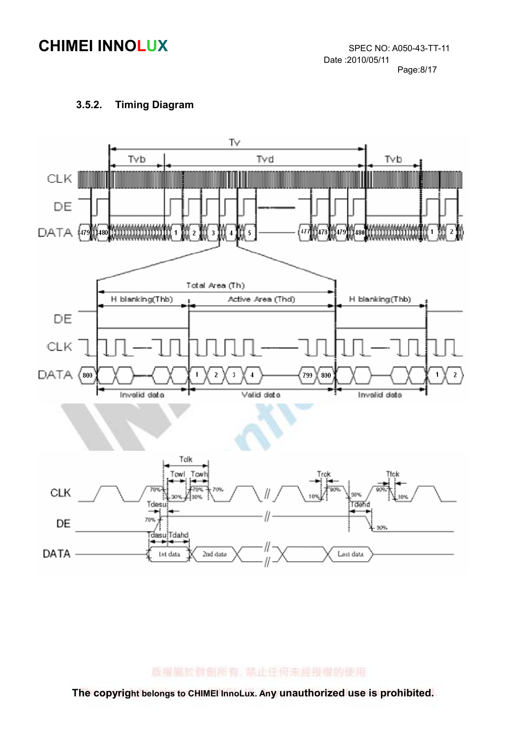

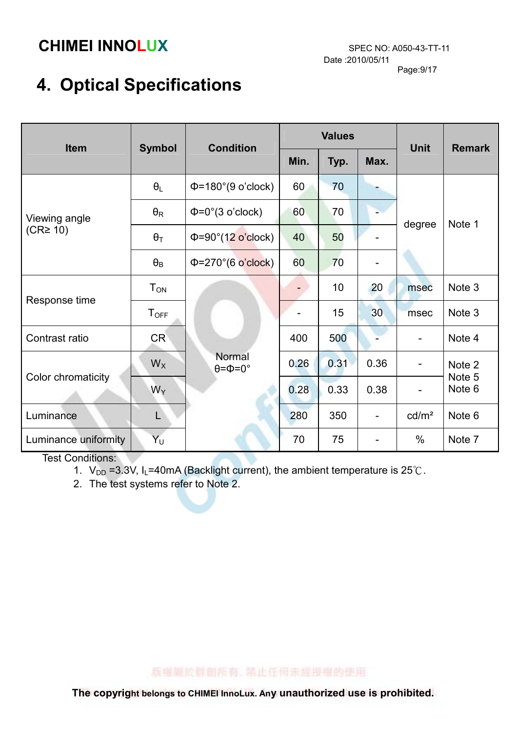# 4. Optical Specifications

| Item                                  | <b>Symbol</b>           | <b>Condition</b>                       | <b>Values</b> |      |      | <b>Unit</b>       | <b>Remark</b>    |
|---------------------------------------|-------------------------|----------------------------------------|---------------|------|------|-------------------|------------------|
|                                       |                         |                                        | Min.          | Typ. | Max. |                   |                  |
| Viewing angle<br>(CR <sup>2</sup> 10) | $\theta_L$              | $\Phi$ =180°(9 o'clock)                | 60            | 70   |      | degree            | Note 1           |
|                                       | $\theta_{\mathsf{R}}$   | $\Phi = 0^\circ (3 \text{ o'clock})$   | 60            | 70   |      |                   |                  |
|                                       | $\theta_T$              | $\Phi = 90^\circ (12 \text{ o'clock})$ | 40            | 50   |      |                   |                  |
|                                       | $\theta_B$              | $\Phi = 270^{\circ}$ (6 o'clock)       | 60            | 70   |      |                   |                  |
| Response time                         | <b>T</b> <sub>ON</sub>  |                                        |               | 10   | 20   | msec              | Note 3           |
|                                       | <b>T</b> <sub>OFF</sub> |                                        |               | 15   | 30   | msec              | Note 3           |
| Contrast ratio                        | <b>CR</b>               |                                        | 400           | 500  |      |                   | Note 4           |
| Color chromaticity                    | $W_X$                   | Normal<br>$\theta = \Phi = 0^{\circ}$  | 0.26          | 0.31 | 0.36 |                   | Note 2           |
|                                       | $W_Y$                   |                                        | 0.28          | 0.33 | 0.38 |                   | Note 5<br>Note 6 |
| Luminance                             | L                       |                                        | 280           | 350  |      | cd/m <sup>2</sup> | Note 6           |
| Luminance uniformity                  | Υū                      |                                        | 70            | 75   |      | $\%$              | Note 7           |

Test Conditions:

- 1.  $V_{DD}$  =3.3V, I<sub>L</sub>=40mA (Backlight current), the ambient temperature is 25°C.
- 2. The test systems refer to Note 2.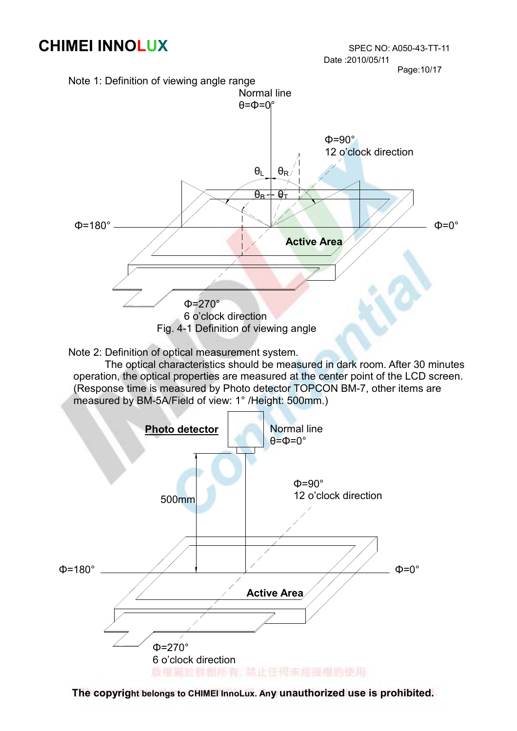Page:10/17



 The optical characteristics should be measured in dark room. After 30 minutes operation, the optical properties are measured at the center point of the LCD screen. (Response time is measured by Photo detector TOPCON BM-7, other items are measured by BM-5A/Field of view: 1° /Height: 500mm.)



The copyright belongs to CHIMEI InnoLux. Any unauthorized use is prohibited.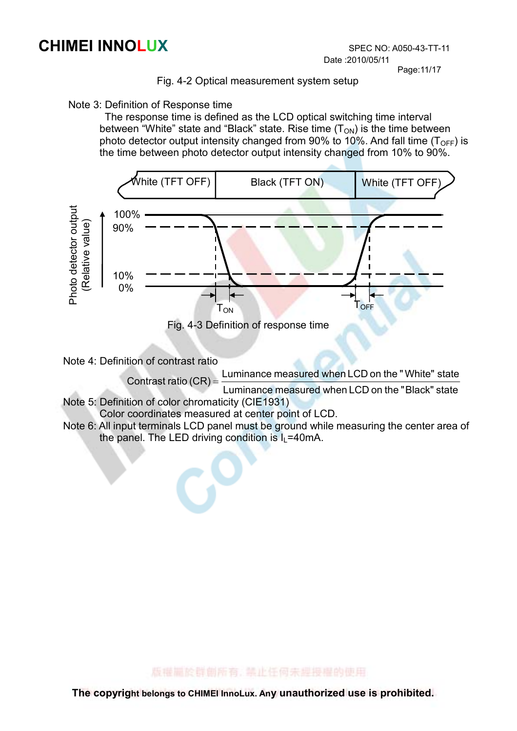Page:11/17

#### Fig. 4-2 Optical measurement system setup

#### Note 3: Definition of Response time

 The response time is defined as the LCD optical switching time interval between "White" state and "Black" state. Rise time  $(T<sub>ON</sub>)$  is the time between photo detector output intensity changed from 90% to 10%. And fall time ( $T_{\text{OFF}}$ ) is the time between photo detector output intensity changed from 10% to 90%.



Note 4: Definition of contrast ratio

Luminance measured when LCD on the "White" state

- Contrast ratio  $(CR) = \frac{E}{E}$  Luminance measured when LCD on the "Black" state
- Note 5: Definition of color chromaticity (CIE1931)

Color coordinates measured at center point of LCD.

 Note 6: All input terminals LCD panel must be ground while measuring the center area of the panel. The LED driving condition is  $I_L$ =40mA.

版權圖於群劇版有, 禁止任何未规投權的使用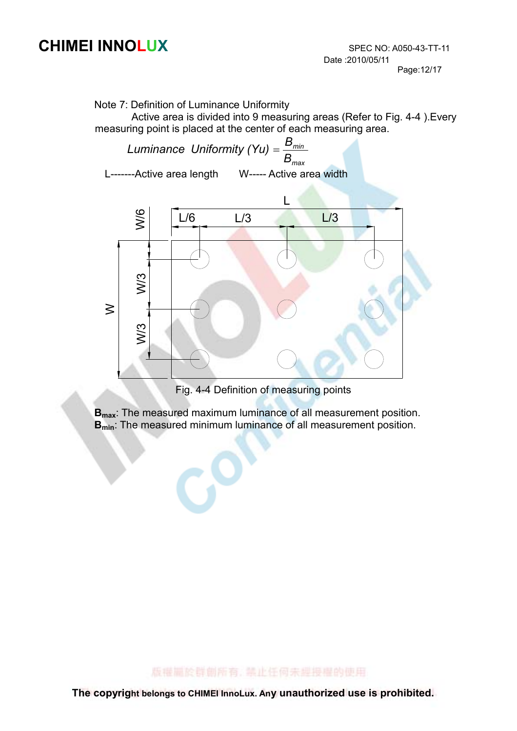Note 7: Definition of Luminance Uniformity

Active area is divided into 9 measuring areas (Refer to Fig. 4-4 ).Every measuring point is placed at the center of each measuring area.

 $\mathcal{L}_{\text{max}}$ min B Luminance Uniformity (Yu) =  $\frac{B}{B}$  L-------Active area length W----- Active area width L



Fig. 4-4 Definition of measuring points

**B**<sub>max</sub>: The measured maximum luminance of all measurement position. **B<sub>min</sub>:** The measured minimum luminance of all measurement position.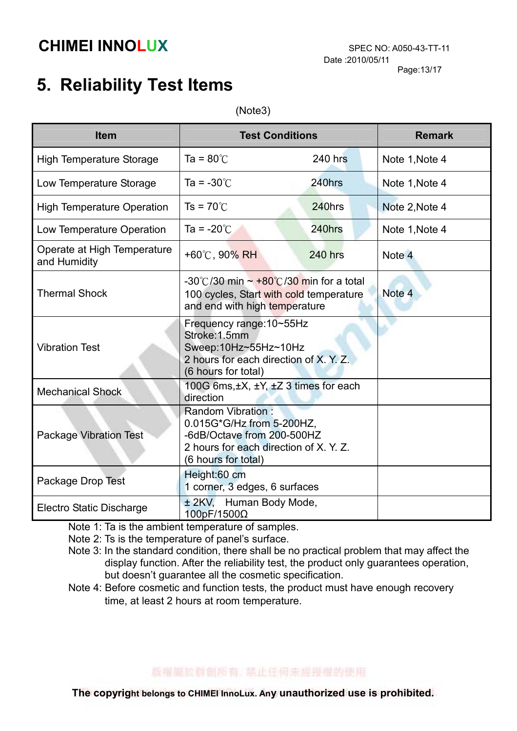#### Page:13/17

## 5. Reliability Test Items

(Note3)

| <b>Item</b>                                 | <b>Test Conditions</b>                                                                                                                        |                | <b>Remark</b>  |
|---------------------------------------------|-----------------------------------------------------------------------------------------------------------------------------------------------|----------------|----------------|
| <b>High Temperature Storage</b>             | Ta = $80^{\circ}$ C                                                                                                                           | <b>240 hrs</b> | Note 1, Note 4 |
| Low Temperature Storage                     | Ta = $-30^{\circ}$ C                                                                                                                          | 240hrs         | Note 1, Note 4 |
| <b>High Temperature Operation</b>           | $Ts = 70^{\circ}$ C                                                                                                                           | 240hrs         | Note 2, Note 4 |
| Low Temperature Operation                   | Ta = $-20^{\circ}$ C                                                                                                                          | 240hrs         | Note 1, Note 4 |
| Operate at High Temperature<br>and Humidity | +60°C, 90% RH                                                                                                                                 | <b>240 hrs</b> | Note 4         |
| <b>Thermal Shock</b>                        | -30°C/30 min $\sim$ +80°C/30 min for a total<br>100 cycles, Start with cold temperature<br>and end with high temperature                      | Note 4         |                |
| <b>Vibration Test</b>                       | Frequency range: 10~55Hz<br>Stroke: 1.5mm<br>Sweep:10Hz~55Hz~10Hz<br>2 hours for each direction of X. Y. Z.<br>(6 hours for total)            |                |                |
| <b>Mechanical Shock</b>                     | 100G 6ms, ±X, ±Y, ±Z 3 times for each<br>direction                                                                                            |                |                |
| Package Vibration Test                      | Random Vibration:<br>0.015G*G/Hz from 5-200HZ,<br>-6dB/Octave from 200-500HZ<br>2 hours for each direction of X. Y. Z.<br>(6 hours for total) |                |                |
| Package Drop Test                           | Height:60 cm<br>1 corner, 3 edges, 6 surfaces                                                                                                 |                |                |
| <b>Electro Static Discharge</b>             | ± 2KV, Human Body Mode,<br>100pF/1500Ω                                                                                                        |                |                |

Note 1: Ta is the ambient temperature of samples.

Note 2: Ts is the temperature of panel's surface.

 Note 3: In the standard condition, there shall be no practical problem that may affect the display function. After the reliability test, the product only guarantees operation, but doesn't guarantee all the cosmetic specification.

Note 4: Before cosmetic and function tests, the product must have enough recovery time, at least 2 hours at room temperature.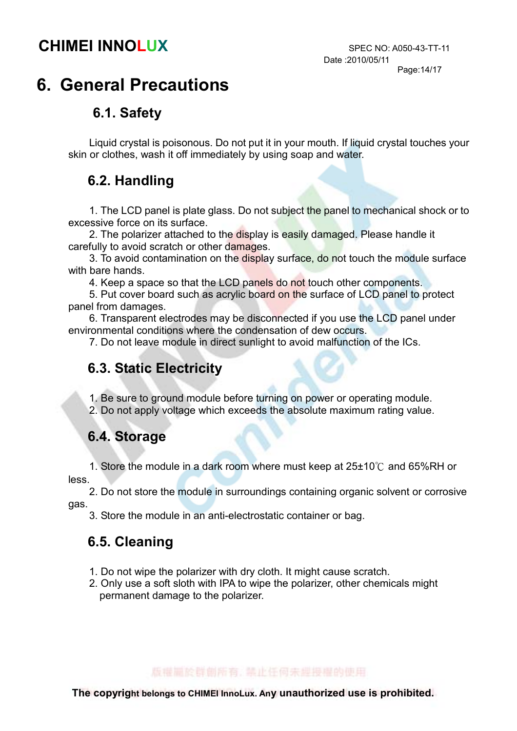## 6. General Precautions

#### 6.1. Safety

Liquid crystal is poisonous. Do not put it in your mouth. If liquid crystal touches your skin or clothes, wash it off immediately by using soap and water.

#### 6.2. Handling

1. The LCD panel is plate glass. Do not subject the panel to mechanical shock or to excessive force on its surface.

2. The polarizer attached to the display is easily damaged. Please handle it carefully to avoid scratch or other damages.

3. To avoid contamination on the display surface, do not touch the module surface with bare hands.

4. Keep a space so that the LCD panels do not touch other components.

5. Put cover board such as acrylic board on the surface of LCD panel to protect panel from damages.

6. Transparent electrodes may be disconnected if you use the LCD panel under environmental conditions where the condensation of dew occurs.

7. Do not leave module in direct sunlight to avoid malfunction of the ICs.

#### 6.3. Static Electricity

1. Be sure to ground module before turning on power or operating module. 2. Do not apply voltage which exceeds the absolute maximum rating value.

#### 6.4. Storage

1. Store the module in a dark room where must keep at  $25\pm10^{\circ}$  and 65%RH or less.

 2. Do not store the module in surroundings containing organic solvent or corrosive gas.

3. Store the module in an anti-electrostatic container or bag.

#### 6.5. Cleaning

- 1. Do not wipe the polarizer with dry cloth. It might cause scratch.
- 2. Only use a soft sloth with IPA to wipe the polarizer, other chemicals might permanent damage to the polarizer.

版權圖於群劇版有, 禁止任何未规投權的使用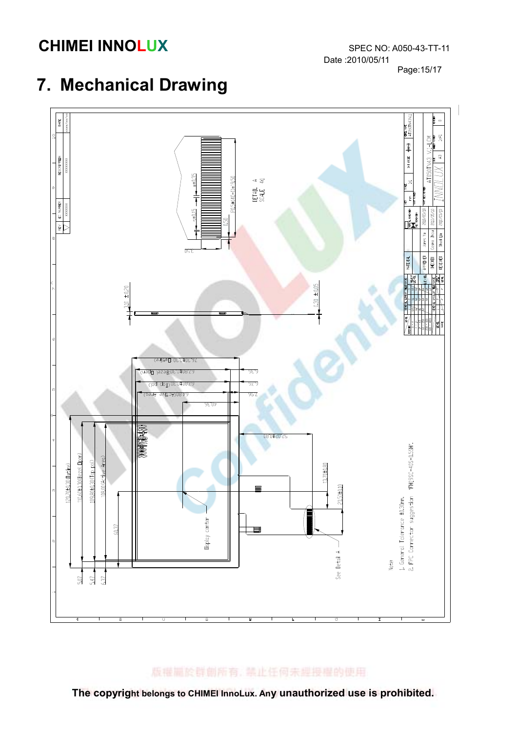Date :2010/05/11 Page:15/17

## 7. Mechanical Drawing



The copyright belongs to CHIMEI InnoLux. Any unauthorized use is prohibited.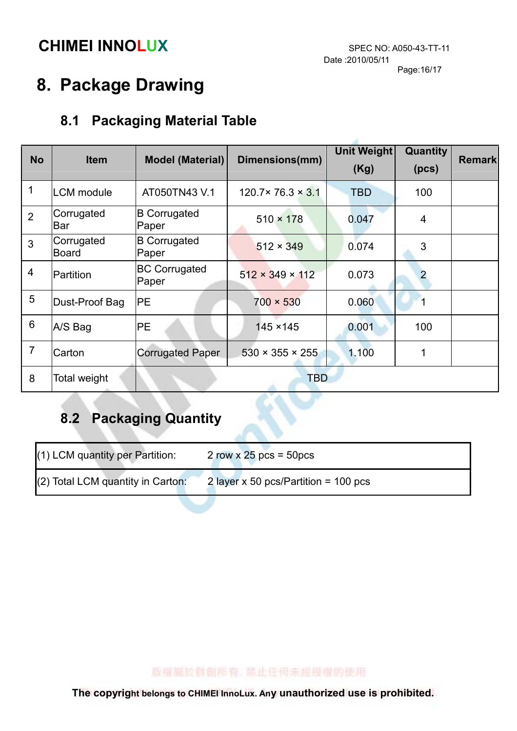# 8. Package Drawing

## 8.1 Packaging Material Table

|                |                            |                               |                                | Unit Weight | Quantity       |               |
|----------------|----------------------------|-------------------------------|--------------------------------|-------------|----------------|---------------|
| <b>No</b>      | <b>Item</b>                | <b>Model (Material)</b>       | Dimensions(mm)                 | (Kg)        | (pcs)          | <b>Remark</b> |
| $\mathbf 1$    | <b>LCM</b> module          | AT050TN43 V.1                 | $120.7 \times 76.3 \times 3.1$ | <b>TBD</b>  | 100            |               |
| $\overline{2}$ | Corrugated<br><b>Bar</b>   | <b>B</b> Corrugated<br>Paper  | $510 \times 178$               | 0.047       | $\overline{4}$ |               |
| 3              | Corrugated<br><b>Board</b> | <b>B</b> Corrugated<br>Paper  | $512 \times 349$               | 0.074       | 3              |               |
| $\overline{4}$ | Partition                  | <b>BC Corrugated</b><br>Paper | $512 \times 349 \times 112$    | 0.073       | $\overline{2}$ |               |
| 5              | Dust-Proof Bag             | PE                            | $700 \times 530$               | 0.060       |                |               |
| $6\phantom{1}$ | A/S Bag                    | <b>PE</b>                     | 145 × 145                      | 0.001       | 100            |               |
| $\overline{7}$ | Carton                     | <b>Corrugated Paper</b>       | $530 \times 355 \times 255$    | 1.100       |                |               |
| 8              | Total weight               |                               | <b>TBD</b>                     |             |                |               |

## 8.2 Packaging Quantity

| $(1)$ LCM quantity per Partition:   | $2 \text{ row} \times 25 \text{ pcs} = 50 \text{ pcs}$ |
|-------------------------------------|--------------------------------------------------------|
| $(2)$ Total LCM quantity in Carton: | 2 layer x 50 pcs/Partition = $100$ pcs                 |